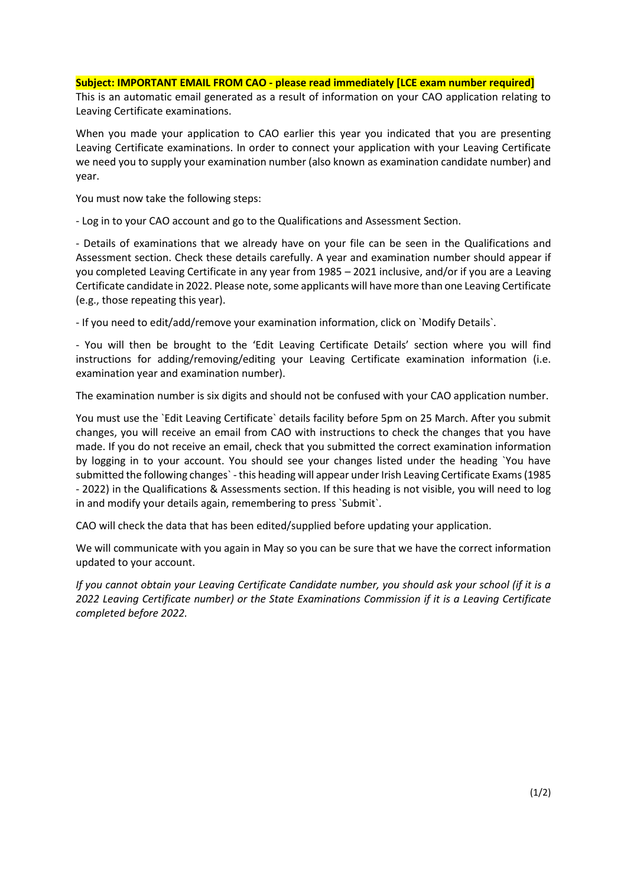## **Subject: IMPORTANT EMAIL FROM CAO - please read immediately [LCE exam number required]**

This is an automatic email generated as a result of information on your CAO application relating to Leaving Certificate examinations.

When you made your application to CAO earlier this year you indicated that you are presenting Leaving Certificate examinations. In order to connect your application with your Leaving Certificate we need you to supply your examination number (also known as examination candidate number) and year.

You must now take the following steps:

- Log in to your CAO account and go to the Qualifications and Assessment Section.

- Details of examinations that we already have on your file can be seen in the Qualifications and Assessment section. Check these details carefully. A year and examination number should appear if you completed Leaving Certificate in any year from 1985 – 2021 inclusive, and/or if you are a Leaving Certificate candidate in 2022. Please note, some applicants will have more than one Leaving Certificate (e.g., those repeating this year).

- If you need to edit/add/remove your examination information, click on `Modify Details`.

- You will then be brought to the 'Edit Leaving Certificate Details' section where you will find instructions for adding/removing/editing your Leaving Certificate examination information (i.e. examination year and examination number).

The examination number is six digits and should not be confused with your CAO application number.

You must use the `Edit Leaving Certificate` details facility before 5pm on 25 March. After you submit changes, you will receive an email from CAO with instructions to check the changes that you have made. If you do not receive an email, check that you submitted the correct examination information by logging in to your account. You should see your changes listed under the heading `You have submitted the following changes` - this heading will appear under Irish Leaving Certificate Exams (1985 - 2022) in the Qualifications & Assessments section. If this heading is not visible, you will need to log in and modify your details again, remembering to press `Submit`.

CAO will check the data that has been edited/supplied before updating your application.

We will communicate with you again in May so you can be sure that we have the correct information updated to your account.

*If you cannot obtain your Leaving Certificate Candidate number, you should ask your school (if it is a 2022 Leaving Certificate number) or the State Examinations Commission if it is a Leaving Certificate completed before 2022.*